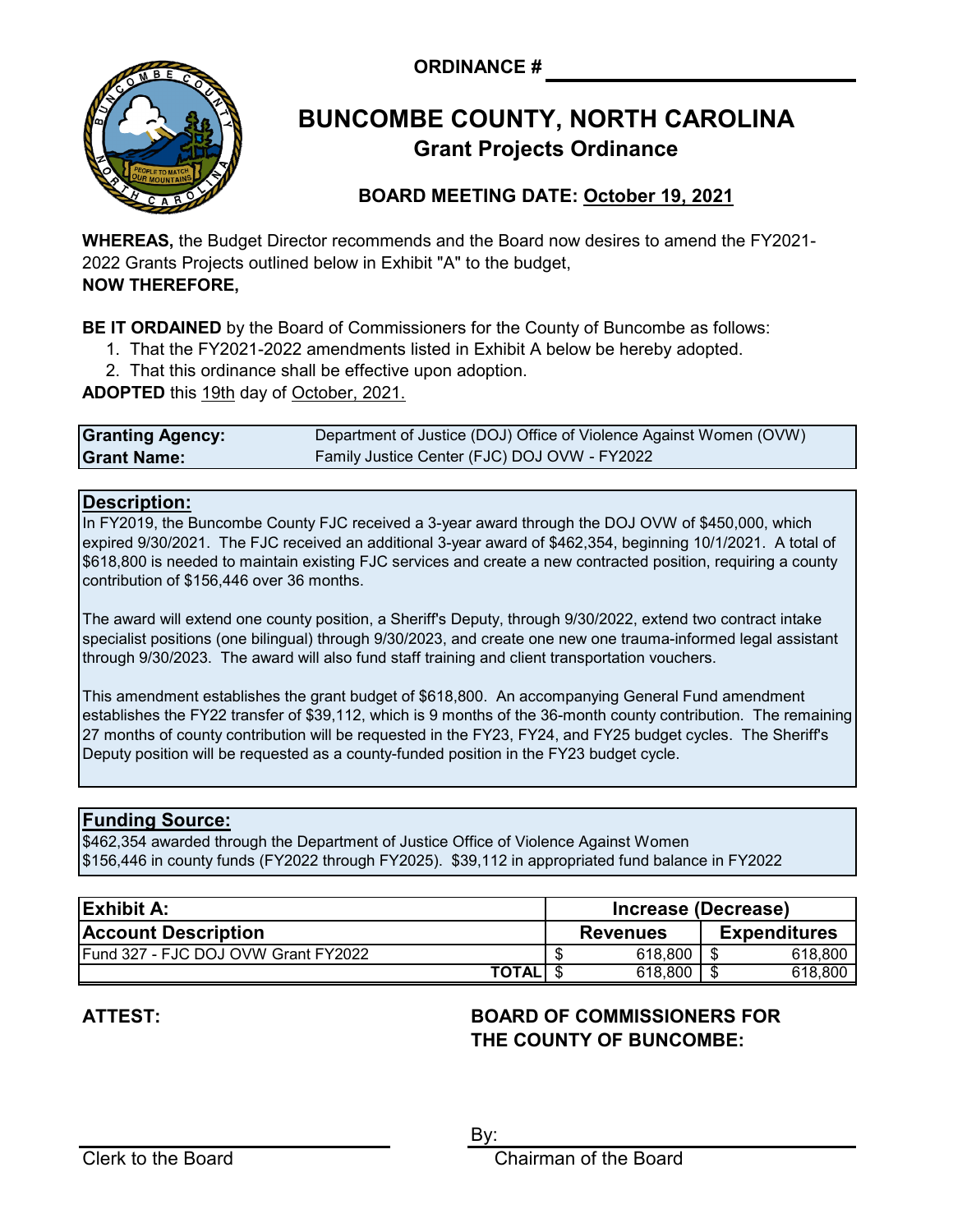**ORDINANCE #**



# **Grant Projects Ordinance BUNCOMBE COUNTY, NORTH CAROLINA**

## **BOARD MEETING DATE: October 19, 2021**

**WHEREAS,** the Budget Director recommends and the Board now desires to amend the FY2021- 2022 Grants Projects outlined below in Exhibit "A" to the budget, **NOW THEREFORE,**

**BE IT ORDAINED** by the Board of Commissioners for the County of Buncombe as follows:

- 1. That the FY2021-2022 amendments listed in Exhibit A below be hereby adopted.
- 2. That this ordinance shall be effective upon adoption.

**ADOPTED** this 19th day of October, 2021.

| <b>Granting Agency:</b> | Department of Justice (DOJ) Office of Violence Against Women (OVW) |
|-------------------------|--------------------------------------------------------------------|
| <b>Grant Name:</b>      | Family Justice Center (FJC) DOJ OVW - FY2022                       |

### **Description:**

In FY2019, the Buncombe County FJC received a 3-year award through the DOJ OVW of \$450,000, which expired 9/30/2021. The FJC received an additional 3-year award of \$462,354, beginning 10/1/2021. A total of \$618,800 is needed to maintain existing FJC services and create a new contracted position, requiring a county contribution of \$156,446 over 36 months.

The award will extend one county position, a Sheriff's Deputy, through 9/30/2022, extend two contract intake specialist positions (one bilingual) through 9/30/2023, and create one new one trauma-informed legal assistant through 9/30/2023. The award will also fund staff training and client transportation vouchers.

This amendment establishes the grant budget of \$618,800. An accompanying General Fund amendment establishes the FY22 transfer of \$39,112, which is 9 months of the 36-month county contribution. The remaining 27 months of county contribution will be requested in the FY23, FY24, and FY25 budget cycles. The Sheriff's Deputy position will be requested as a county-funded position in the FY23 budget cycle.

## **Funding Source:**

\$462,354 awarded through the Department of Justice Office of Violence Against Women \$156,446 in county funds (FY2022 through FY2025). \$39,112 in appropriated fund balance in FY2022

| <b>Exhibit A:</b>                   | Increase (Decrease) |                 |  |                     |
|-------------------------------------|---------------------|-----------------|--|---------------------|
| <b>Account Description</b>          |                     | <b>Revenues</b> |  | <b>Expenditures</b> |
| Fund 327 - FJC DOJ OVW Grant FY2022 |                     | 618,800         |  | 618,800             |
| <b>TOTAL</b>                        |                     | 618,800         |  | 618,800             |

# **ATTEST:**

## **BOARD OF COMMISSIONERS FOR THE COUNTY OF BUNCOMBE:**